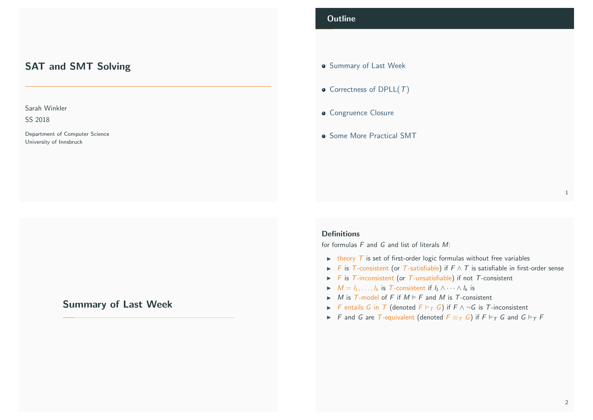# SAT and SMT Solving

## Sarah Winkler

SS 2018

Department of Computer Science University of Innsbruck

# <span id="page-0-0"></span>[Summa](#page-1-0)[ry of Last W](#page-0-0)eek

## **Outline**

- **Summary of Last Week**
- $\bullet$  Correctness of DPLL $(T)$
- **Congruence Closure**
- **Some More Practical SMT**

#### **Definitions**

for formulas  $F$  and  $G$  and list of literals  $M$ :

- $\rightarrow$  theory T is set of first-order logic formulas without free variables
- F is T-consistent (or T-satisfiable) if  $F \wedge T$  is satisfiable in first-order sense
- $\triangleright$  F is T-inconsistent (or T-unsatisfiable) if not T-consistent
- $M = l_1, \ldots, l_k$  is T-consistent if  $l_1 \wedge \cdots \wedge l_k$  is
- $\triangleright$  *M* is *T*-model of *F* if  $M \models F$  and *M* is *T*-consistent
- **F** entails G in T (denoted  $F \vDash_T G$ ) if  $F \wedge \neg G$  is T-inconsistent
- F and G are T-equivalent (denoted  $F \equiv_T G$ ) if  $F \vDash_T G$  and  $G \vDash_T F$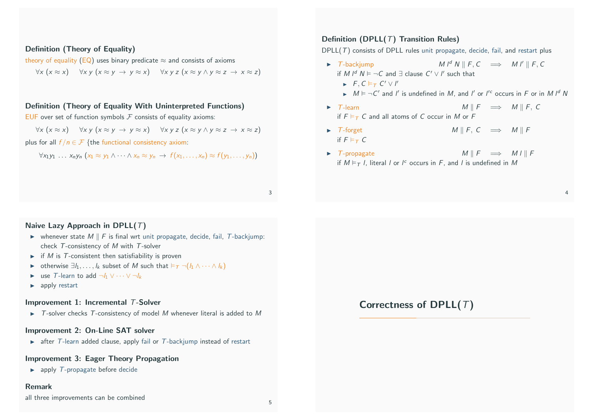## Definition (Theory of Equality)

theory of equality (EQ) uses binary predicate  $\approx$  and consists of axioms

 $\forall x (x \approx x)$   $\forall x y (x \approx y \rightarrow y \approx x)$   $\forall x y z (x \approx y \land y \approx z \rightarrow x \approx z)$ 

### Definition (Theory of Equality With Uninterpreted Functions)

EUF over set of function symbols  $F$  consists of equality axioms:

 $\forall x (x \approx x)$   $\forall x y (x \approx y \rightarrow y \approx x)$   $\forall x y z (x \approx y \land y \approx z \rightarrow x \approx z)$ 

plus for all  $f/n \in \mathcal{F}$  {the functional consistency axiom:

 $\forall x_1y_1 \ldots x_ny_n (x_1 \approx y_1 \land \cdots \land x_n \approx y_n \rightarrow f(x_1,\ldots,x_n) \approx f(y_1,\ldots,y_n))$ 

## Definition (DPLL $(T)$  Transition Rules)

DPLL $(T)$  consists of DPLL rules unit propagate, decide, fail, and restart plus

- $\triangleright$  T-backjump  $M \vert^d N \vert\vert F, C \implies M \vert\vert\vert F, C$ if M  $I^d$   $N \vDash \neg C$  and  $\exists$  clause  $C' \vee I'$  such that  $\blacktriangleright$  F, C  $\models$  T C'  $\lor$  I'
	- $\triangleright$   $M \models \neg C'$  and l' is undefined in M, and l' or l'<sup>c</sup> occurs in F or in M l<sup>d</sup> N
- $\triangleright$  T-learn M ||  $F \implies M \parallel F$ , C if  $F \models_T C$  and all atoms of C occur in M or F
- $\triangleright$  T-forget M k F, C  $\implies$  M k F if  $F \models_{\tau} C$
- $\triangleright$  T-propagate  $M \parallel F \implies M \parallel \parallel F$ if  $M \vDash_{\mathcal{T}} I$ , literal *l* or  $I^c$  occurs in F, and *l* is undefined in M

3

5

## <span id="page-1-0"></span>Naive Lazy Approach in DPLL $(T)$

- $\triangleright$  whenever state M  $\parallel$  F is final wrt unit propagate, decide, fail, T-backiump: check T-consistency of M with T-solver
- $\triangleright$  if M is T-consistent then satisfiability is proven
- **►** otherwise  $\exists l_1, \ldots, l_k$  subset of M such that  $\models_{\tau} \neg(l_1 \wedge \cdots \wedge l_k)$
- **►** use T-learn to add  $\neg h_1 \lor \cdots \lor \neg h_k$
- $\blacktriangleright$  apply restart

### Improvement 1: Incremental T-Solver

 $\triangleright$  T-solver checks T[-consistency of mode](#page-1-0)l M whenever literal is added to M

#### Improvement 2: On-Line SAT solver

 $\triangleright$  after T-learn added clause, apply fail or T-backiump instead of restart

#### Improvement 3: Eager Theory Propagation

 $\blacktriangleright$  apply T-propagate before decide

#### Remark

all three improvements can be combined

# Correctness of DPLL $(T)$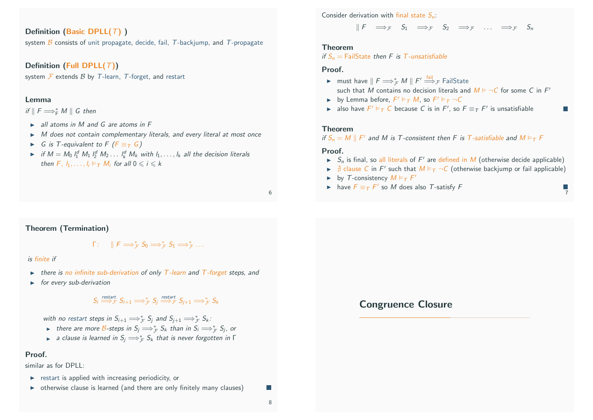## Definition (Basic DPLL $(T)$ )

system  $\hat{B}$  consists of unit propagate, decide, fail, T-backjump, and T-propagate

## Definition (Full DPLL $(T)$ )

system  $\mathcal F$  extends  $\mathcal B$  by  $\mathcal T$ -learn,  $\mathcal T$ -forget, and restart

#### Lemma

if  $\parallel$  F  $\Longrightarrow^*_{\mathsf{F}} M \parallel G$  then

- $\triangleright$  all atoms in M and G are atoms in F
- $\triangleright$  M does not contain complementary literals, and every literal at most once
- $\triangleright$  G is T-equivalent to F ( $F \equiv_T G$ )
- if  $M = M_0 \, l_1^d \, M_1 \, l_2^d \, M_2 \ldots \, l_k^d \, M_k$  with  $l_1, \ldots, l_k$  all the decision literals then  $F, h, \ldots, h \models \tau M$  for all  $0 \le i \le k$

6

#### <span id="page-2-0"></span>Theorem (Termination)

 $\Gamma: \quad \parallel F \Longrightarrow_{\mathcal{F}}^* S_0 \Longrightarrow_{\mathcal{F}}^* S_1 \Longrightarrow_{\mathcal{F}}^* \ldots$ 

#### is finite if

- $\triangleright$  there is no infinite sub-derivation of only T-learn and T-forget steps, and
- $\longrightarrow$  for every sub-derivation

# $S_i \stackrel{\textit{restart}}{\Longrightarrow} \mathcal{F} S_{i+1} \Longrightarrow^*_{\mathcal{F}} S_j \stackrel{\textit{restart}}{\Longrightarrow} \mathcal{F} S_{j+1} \Longrightarrow^*_{\mathcal{F}} S_k$

with no restart [steps in](#page-2-0)  $S_{i+1} \Longrightarrow_{\mathcal{F}}^* S_j$  and  $S_{j+1} \Longrightarrow_{\mathcal{F}}^* S_k$ :

- ► there are more B-steps in  $S_j \Longrightarrow_{\mathcal{F}}^* S_k$  than in  $S_i \Longrightarrow_{\mathcal{F}}^* S_j$ , or
- ► a clause is learned in  $S_j \Longrightarrow_{\mathcal{F}}^* S_k$  that is never forgotten in  $\Gamma$

#### Proof.

similar as for DPLL:

- $\triangleright$  restart is applied with increasing periodicity, or
- $\rightarrow$  otherwise clause is learned (and there are only finitely many clauses)

Consider derivation with final state  $S_n$ :

 $\parallel F \rightleftharpoons_{\tau} S_1 \rightleftharpoons_{\tau} S_2 \rightleftharpoons_{\tau} \ldots \rightleftharpoons_{\tau} S_n$ 

#### Theorem

if  $S_n$  = FailState then F is T-unsatisfiable

#### **Proof**

- ► must have  $\parallel F \Longrightarrow_{\mathcal{F}}^* M \parallel F' \stackrel{\mathsf{fail}}{\Longrightarrow}_{\mathcal{F}}$  FailState such that M contains no decision literals and  $M \models \neg C$  for some C in  $F'$
- by Lemma before,  $F' \vDash_{\mathcal{T}} M$ , so  $F' \vDash_{\mathcal{T}} \neg C$
- **►** also have  $F' \models_T C$  because C is in  $F'$ , so  $F \equiv_T F'$  is unsatisfiable

#### Theorem

if  $S_n = M \parallel F'$  and M is T-consistent then F is T-satisfiable and  $M \vDash_T F$ 

#### Proof.

- $\blacktriangleright$   $S_n$  is final, so all literals of F' are defined in M (otherwise decide applicable)
- $\blacktriangleright \ncong$  clause C in F' such that  $M \vDash_T \neg C$  (otherwise backjump or fail applicable)

7

**I** 

- by T-consistency  $M \vDash_{\mathcal{T}} F'$
- ► have  $F \equiv_T F'$  so M does also T-satisfy F

## Congruence Closure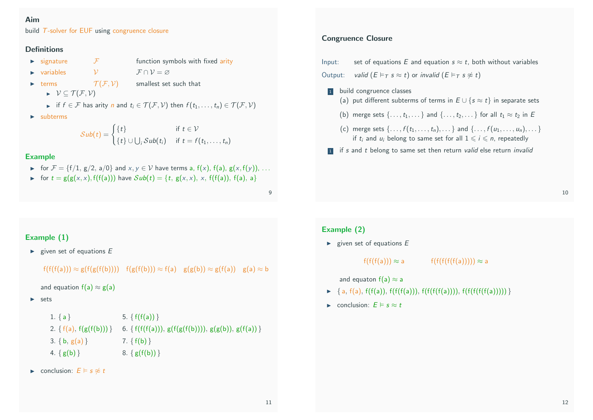## Aim

build T-solver for EUF using congruence closure

## Definitions

- $\triangleright$  signature  $\tau$  function symbols with fixed arity
- $\triangleright$  variables  $\triangleright$   $\triangleright$   $\mathcal{F} \cap \mathcal{V} = \varnothing$

terms  $\mathcal{T}(\mathcal{F}, \mathcal{V})$  smallest set such that

- $\triangleright \forall \subseteq \mathcal{T}(\mathcal{F}, \mathcal{V})$
- if  $f \in \mathcal{F}$  has arity *n* and  $t_i \in \mathcal{T}(\mathcal{F}, \mathcal{V})$  then  $f(t_1, \ldots, t_n) \in \mathcal{T}(\mathcal{F}, \mathcal{V})$
- $\blacktriangleright$  subterms

$$
Sub(t) = \begin{cases} \{t\} & \text{if } t \in \mathcal{V} \\ \{t\} \cup \bigcup_i Sub(t_i) & \text{if } t = f(t_1, \ldots, t_n) \end{cases}
$$

## Example

- **►** for  $\mathcal{F} = \{f/1, g/2, a/0\}$  and  $x, y \in \mathcal{V}$  have terms a,  $f(x)$ ,  $f(a)$ ,  $g(x, f(y))$ , ...
- ► for  $t = g(g(x, x), f(f(a)))$  have  $Sub(t) = {t, g(x, x), x, f(f(a)), f(a), a}$

9

## Example (1)

 $\blacktriangleright$  given set of equations  $E$ 

```
f(f(f(a))) \approx g(f(g(f(b)))) f(g(f(b))) \approx f(a) g(g(b)) \approx g(f(a)) g(a) \approx b
```

```
and equation f(a) \approx g(a)
```

```
\blacktriangleright sets
```

```
1. { a } 5. \{ f(f(a)) \}2. { f(a), f(g(f(b))) } 6. { f(f(f(a))), g(f(g(f(b)))), g(g(b)), g(f(a)) }
3. { b, g(a) } 7. { f(b) }
4. \{ g(b) \} 8. \{ g(f(b)) \}
```

```
\triangleright conclusion: E \models s \not\approx t
```
## Congruence Closure

| Input:  |  | set of equations E and equation $s \approx t$ , both without variables                                                                     |
|---------|--|--------------------------------------------------------------------------------------------------------------------------------------------|
| Output: |  | valid $(E \models_T s \approx t)$ or invalid $(E \models_T s \not\approx t)$                                                               |
|         |  | build congruence classes<br>(a) put different subterms of terms in $E \cup \{s \approx t\}$ in separate sets                               |
|         |  | (b) merge sets $\{ \ldots, t_1, \ldots \}$ and $\{ \ldots, t_2, \ldots \}$ for all $t_1 \approx t_2$ in E                                  |
|         |  | (c) merge sets {, $f(t_1,,t_n),$ } and {, $f(u_1,,u_n),$ }<br>if $t_i$ and $u_i$ belong to same set for all $1 \leq i \leq n$ , repeatedly |
| 1       |  | if s and t belong to same set then return valid else return invalid                                                                        |

Example (2)

 $\blacktriangleright$  given set of equations  $E$ 

 $f(f(f(a)))) \approx a$   $f(f(f(f(f(a)))) \approx a$ 

and equaton  $f(a) \approx a$ 

- $\blacktriangleright \{a, f(a), f(f(a)), f(f(f(f(a))), f(f(f(f(f(a))))), f(f(f(f(f(a))))\}$
- ► conclusion:  $E \models s \approx t$

10